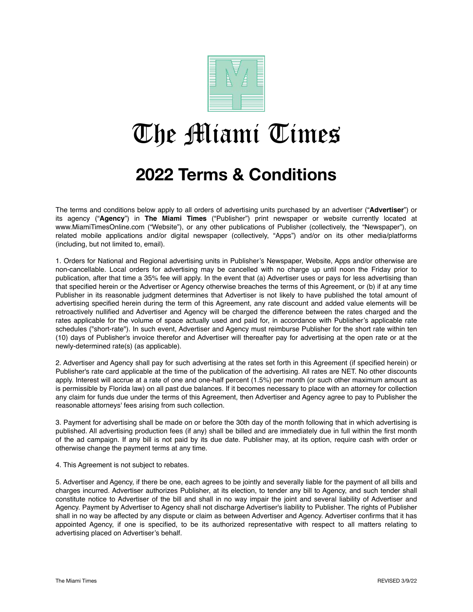

## The Miami Times

## **2022 Terms & Conditions**

The terms and conditions below apply to all orders of advertising units purchased by an advertiser ("**Advertiser**") or its agency ("**Agency**") in **The Miami Times** ("Publisher") print newspaper or website currently located at www.MiamiTimesOnline.com ("Website"), or any other publications of Publisher (collectively, the "Newspaper"), on related mobile applications and/or digital newspaper (collectively, "Apps") and/or on its other media/platforms (including, but not limited to, email).

1. Orders for National and Regional advertising units in Publisher's Newspaper, Website, Apps and/or otherwise are non-cancellable. Local orders for advertising may be cancelled with no charge up until noon the Friday prior to publication, after that time a 35% fee will apply. In the event that (a) Advertiser uses or pays for less advertising than that specified herein or the Advertiser or Agency otherwise breaches the terms of this Agreement, or (b) if at any time Publisher in its reasonable judgment determines that Advertiser is not likely to have published the total amount of advertising specified herein during the term of this Agreement, any rate discount and added value elements will be retroactively nullified and Advertiser and Agency will be charged the difference between the rates charged and the rates applicable for the volume of space actually used and paid for, in accordance with Publisher's applicable rate schedules ("short-rate"). In such event, Advertiser and Agency must reimburse Publisher for the short rate within ten (10) days of Publisher's invoice therefor and Advertiser will thereafter pay for advertising at the open rate or at the newly-determined rate(s) (as applicable).

2. Advertiser and Agency shall pay for such advertising at the rates set forth in this Agreement (if specified herein) or Publisher's rate card applicable at the time of the publication of the advertising. All rates are NET. No other discounts apply. Interest will accrue at a rate of one and one-half percent (1.5%) per month (or such other maximum amount as is permissible by Florida law) on all past due balances. If it becomes necessary to place with an attorney for collection any claim for funds due under the terms of this Agreement, then Advertiser and Agency agree to pay to Publisher the reasonable attorneys' fees arising from such collection.

3. Payment for advertising shall be made on or before the 30th day of the month following that in which advertising is published. All advertising production fees (if any) shall be billed and are immediately due in full within the first month of the ad campaign. If any bill is not paid by its due date. Publisher may, at its option, require cash with order or otherwise change the payment terms at any time.

4. This Agreement is not subject to rebates.

5. Advertiser and Agency, if there be one, each agrees to be jointly and severally liable for the payment of all bills and charges incurred. Advertiser authorizes Publisher, at its election, to tender any bill to Agency, and such tender shall constitute notice to Advertiser of the bill and shall in no way impair the joint and several liability of Advertiser and Agency. Payment by Advertiser to Agency shall not discharge Advertiser's liability to Publisher. The rights of Publisher shall in no way be affected by any dispute or claim as between Advertiser and Agency. Advertiser confirms that it has appointed Agency, if one is specified, to be its authorized representative with respect to all matters relating to advertising placed on Advertiser's behalf.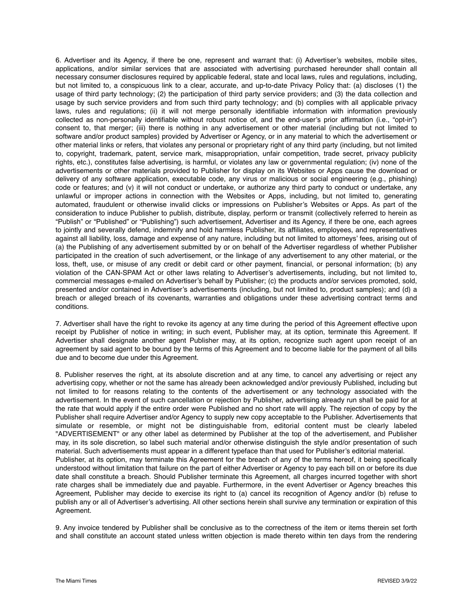6. Advertiser and its Agency, if there be one, represent and warrant that: (i) Advertiser's websites, mobile sites, applications, and/or similar services that are associated with advertising purchased hereunder shall contain all necessary consumer disclosures required by applicable federal, state and local laws, rules and regulations, including, but not limited to, a conspicuous link to a clear, accurate, and up-to-date Privacy Policy that: (a) discloses (1) the usage of third party technology; (2) the participation of third party service providers; and (3) the data collection and usage by such service providers and from such third party technology; and (b) complies with all applicable privacy laws, rules and regulations; (ii) it will not merge personally identifiable information with information previously collected as non-personally identifiable without robust notice of, and the end-user's prior affirmation (i.e., "opt-in") consent to, that merger; (iii) there is nothing in any advertisement or other material (including but not limited to software and/or product samples) provided by Advertiser or Agency, or in any material to which the advertisement or other material links or refers, that violates any personal or proprietary right of any third party (including, but not limited to, copyright, trademark, patent, service mark, misappropriation, unfair competition, trade secret, privacy publicity rights, etc.), constitutes false advertising, is harmful, or violates any law or governmental regulation; (iv) none of the advertisements or other materials provided to Publisher for display on its Websites or Apps cause the download or delivery of any software application, executable code, any virus or malicious or social engineering (e.g., phishing) code or features; and (v) it will not conduct or undertake, or authorize any third party to conduct or undertake, any unlawful or improper actions in connection with the Websites or Apps, including, but not limited to, generating automated, fraudulent or otherwise invalid clicks or impressions on Publisher's Websites or Apps. As part of the consideration to induce Publisher to publish, distribute, display, perform or transmit (collectively referred to herein as "Publish" or "Published" or "Publishing") such advertisement, Advertiser and its Agency, if there be one, each agrees to jointly and severally defend, indemnify and hold harmless Publisher, its affiliates, employees, and representatives against all liability, loss, damage and expense of any nature, including but not limited to attorneys' fees, arising out of (a) the Publishing of any advertisement submitted by or on behalf of the Advertiser regardless of whether Publisher participated in the creation of such advertisement, or the linkage of any advertisement to any other material, or the loss, theft, use, or misuse of any credit or debit card or other payment, financial, or personal information; (b) any violation of the CAN-SPAM Act or other laws relating to Advertiser's advertisements, including, but not limited to, commercial messages e-mailed on Advertiser's behalf by Publisher; (c) the products and/or services promoted, sold, presented and/or contained in Advertiser's advertisements (including, but not limited to, product samples); and (d) a breach or alleged breach of its covenants, warranties and obligations under these advertising contract terms and conditions.

7. Advertiser shall have the right to revoke its agency at any time during the period of this Agreement effective upon receipt by Publisher of notice in writing; in such event, Publisher may, at its option, terminate this Agreement. If Advertiser shall designate another agent Publisher may, at its option, recognize such agent upon receipt of an agreement by said agent to be bound by the terms of this Agreement and to become liable for the payment of all bills due and to become due under this Agreement.

8. Publisher reserves the right, at its absolute discretion and at any time, to cancel any advertising or reject any advertising copy, whether or not the same has already been acknowledged and/or previously Published, including but not limited to for reasons relating to the contents of the advertisement or any technology associated with the advertisement. In the event of such cancellation or rejection by Publisher, advertising already run shall be paid for at the rate that would apply if the entire order were Published and no short rate will apply. The rejection of copy by the Publisher shall require Advertiser and/or Agency to supply new copy acceptable to the Publisher. Advertisements that simulate or resemble, or might not be distinguishable from, editorial content must be clearly labeled "ADVERTISEMENT" or any other label as determined by Publisher at the top of the advertisement, and Publisher may, in its sole discretion, so label such material and/or otherwise distinguish the style and/or presentation of such material. Such advertisements must appear in a different typeface than that used for Publisher's editorial material. Publisher, at its option, may terminate this Agreement for the breach of any of the terms hereof, it being specifically understood without limitation that failure on the part of either Advertiser or Agency to pay each bill on or before its due date shall constitute a breach. Should Publisher terminate this Agreement, all charges incurred together with short rate charges shall be immediately due and payable. Furthermore, in the event Advertiser or Agency breaches this Agreement, Publisher may decide to exercise its right to (a) cancel its recognition of Agency and/or (b) refuse to publish any or all of Advertiser's advertising. All other sections herein shall survive any termination or expiration of this Agreement.

9. Any invoice tendered by Publisher shall be conclusive as to the correctness of the item or items therein set forth and shall constitute an account stated unless written objection is made thereto within ten days from the rendering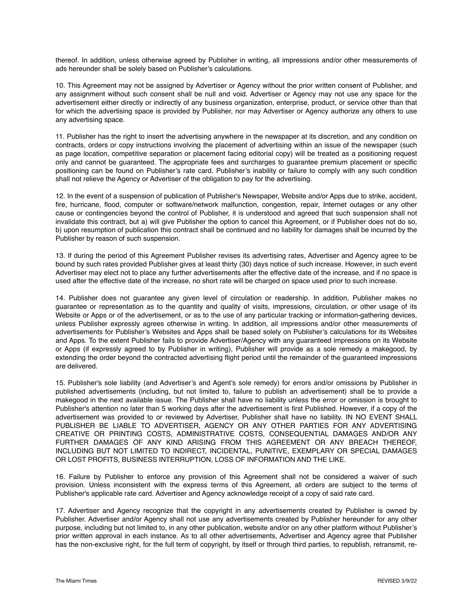thereof. In addition, unless otherwise agreed by Publisher in writing, all impressions and/or other measurements of ads hereunder shall be solely based on Publisher's calculations.

10. This Agreement may not be assigned by Advertiser or Agency without the prior written consent of Publisher, and any assignment without such consent shall be null and void. Advertiser or Agency may not use any space for the advertisement either directly or indirectly of any business organization, enterprise, product, or service other than that for which the advertising space is provided by Publisher, nor may Advertiser or Agency authorize any others to use any advertising space.

11. Publisher has the right to insert the advertising anywhere in the newspaper at its discretion, and any condition on contracts, orders or copy instructions involving the placement of advertising within an issue of the newspaper (such as page location, competitive separation or placement facing editorial copy) will be treated as a positioning request only and cannot be guaranteed. The appropriate fees and surcharges to guarantee premium placement or specific positioning can be found on Publisher's rate card. Publisher's inability or failure to comply with any such condition shall not relieve the Agency or Advertiser of the obligation to pay for the advertising.

12. In the event of a suspension of publication of Publisher's Newspaper, Website and/or Apps due to strike, accident, fire, hurricane, flood, computer or software/network malfunction, congestion, repair, Internet outages or any other cause or contingencies beyond the control of Publisher, it is understood and agreed that such suspension shall not invalidate this contract, but a) will give Publisher the option to cancel this Agreement, or if Publisher does not do so, b) upon resumption of publication this contract shall be continued and no liability for damages shall be incurred by the Publisher by reason of such suspension.

13. If during the period of this Agreement Publisher revises its advertising rates, Advertiser and Agency agree to be bound by such rates provided Publisher gives at least thirty (30) days notice of such increase. However, in such event Advertiser may elect not to place any further advertisements after the effective date of the increase, and if no space is used after the effective date of the increase, no short rate will be charged on space used prior to such increase.

14. Publisher does not guarantee any given level of circulation or readership. In addition, Publisher makes no guarantee or representation as to the quantity and quality of visits, impressions, circulation, or other usage of its Website or Apps or of the advertisement, or as to the use of any particular tracking or information-gathering devices, unless Publisher expressly agrees otherwise in writing. In addition, all impressions and/or other measurements of advertisements for Publisher's Websites and Apps shall be based solely on Publisher's calculations for its Websites and Apps. To the extent Publisher fails to provide Advertiser/Agency with any guaranteed impressions on its Website or Apps (if expressly agreed to by Publisher in writing), Publisher will provide as a sole remedy a makegood, by extending the order beyond the contracted advertising flight period until the remainder of the guaranteed impressions are delivered.

15. Publisher's sole liability (and Advertiser's and Agent's sole remedy) for errors and/or omissions by Publisher in published advertisements (including, but not limited to, failure to publish an advertisement) shall be to provide a makegood in the next available issue. The Publisher shall have no liability unless the error or omission is brought to Publisher's attention no later than 5 working days after the advertisement is first Published. However, if a copy of the advertisement was provided to or reviewed by Advertiser, Publisher shall have no liability. IN NO EVENT SHALL PUBLISHER BE LIABLE TO ADVERTISER, AGENCY OR ANY OTHER PARTIES FOR ANY ADVERTISING CREATIVE OR PRINTING COSTS, ADMINISTRATIVE COSTS, CONSEQUENTIAL DAMAGES AND/OR ANY FURTHER DAMAGES OF ANY KIND ARISING FROM THIS AGREEMENT OR ANY BREACH THEREOF, INCLUDING BUT NOT LIMITED TO INDIRECT, INCIDENTAL, PUNITIVE, EXEMPLARY OR SPECIAL DAMAGES OR LOST PROFITS, BUSINESS INTERRUPTION, LOSS OF INFORMATION AND THE LIKE.

16. Failure by Publisher to enforce any provision of this Agreement shall not be considered a waiver of such provision. Unless inconsistent with the express terms of this Agreement, all orders are subject to the terms of Publisher's applicable rate card. Advertiser and Agency acknowledge receipt of a copy of said rate card.

17. Advertiser and Agency recognize that the copyright in any advertisements created by Publisher is owned by Publisher. Advertiser and/or Agency shall not use any advertisements created by Publisher hereunder for any other purpose, including but not limited to, in any other publication, website and/or on any other platform without Publisher's prior written approval in each instance. As to all other advertisements, Advertiser and Agency agree that Publisher has the non-exclusive right, for the full term of copyright, by itself or through third parties, to republish, retransmit, re